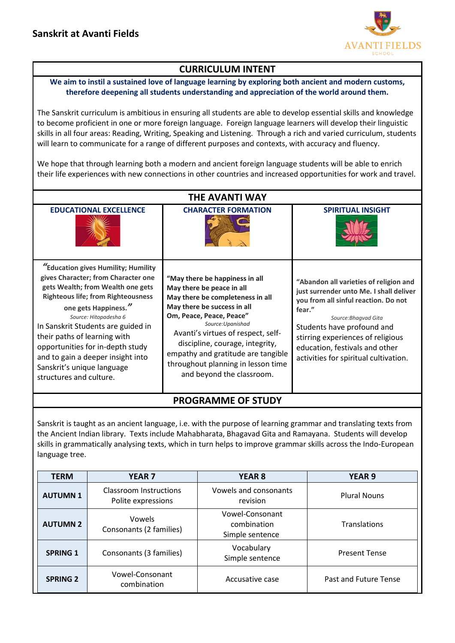

## **CURRICULUM INTENT**

## **We aim to instil a sustained love of language learning by exploring both ancient and modern customs, therefore deepening all students understanding and appreciation of the world around them.**

The Sanskrit curriculum is ambitious in ensuring all students are able to develop essential skills and knowledge to become proficient in one or more foreign language. Foreign language learners will develop their linguistic skills in all four areas: Reading, Writing, Speaking and Listening. Through a rich and varied curriculum, students will learn to communicate for a range of different purposes and contexts, with accuracy and fluency.

We hope that through learning both a modern and ancient foreign language students will be able to enrich their life experiences with new connections in other countries and increased opportunities for work and travel.

| <b>THE AVANTI WAY</b>                                                                                                                                                                                                                                                                                                                                                                                                 |                                                                                                                                                                                                                                                                                                                                                                   |                                                                                                                                                                                                                                                                                                           |  |  |  |
|-----------------------------------------------------------------------------------------------------------------------------------------------------------------------------------------------------------------------------------------------------------------------------------------------------------------------------------------------------------------------------------------------------------------------|-------------------------------------------------------------------------------------------------------------------------------------------------------------------------------------------------------------------------------------------------------------------------------------------------------------------------------------------------------------------|-----------------------------------------------------------------------------------------------------------------------------------------------------------------------------------------------------------------------------------------------------------------------------------------------------------|--|--|--|
| <b>EDUCATIONAL EXCELLENCE</b>                                                                                                                                                                                                                                                                                                                                                                                         | <b>CHARACTER FORMATION</b>                                                                                                                                                                                                                                                                                                                                        | <b>SPIRITUAL INSIGHT</b>                                                                                                                                                                                                                                                                                  |  |  |  |
| "Education gives Humility; Humility<br>gives Character; from Character one<br>gets Wealth; from Wealth one gets<br><b>Righteous life; from Righteousness</b><br>one gets Happiness."<br>Source: Hitopadesha 6<br>In Sanskrit Students are guided in<br>their paths of learning with<br>opportunities for in-depth study<br>and to gain a deeper insight into<br>Sanskrit's unique language<br>structures and culture. | "May there be happiness in all<br>May there be peace in all<br>May there be completeness in all<br>May there be success in all<br>Om, Peace, Peace, Peace"<br>Source: Upanishad<br>Avanti's virtues of respect, self-<br>discipline, courage, integrity,<br>empathy and gratitude are tangible<br>throughout planning in lesson time<br>and beyond the classroom. | "Abandon all varieties of religion and<br>just surrender unto Me. I shall deliver<br>you from all sinful reaction. Do not<br>fear."<br>Source: Bhagvad Gita<br>Students have profound and<br>stirring experiences of religious<br>education, festivals and other<br>activities for spiritual cultivation. |  |  |  |

## **PROGRAMME OF STUDY**

Sanskrit is taught as an ancient language, i.e. with the purpose of learning grammar and translating texts from the Ancient Indian library. Texts include Mahabharata, Bhagavad Gita and Ramayana. Students will develop skills in grammatically analysing texts, which in turn helps to improve grammar skills across the Indo-European language tree.

| <b>TERM</b>     | <b>YEAR7</b>                                 | <b>YEAR 8</b>                                     | <b>YEAR 9</b>         |
|-----------------|----------------------------------------------|---------------------------------------------------|-----------------------|
| <b>AUTUMN1</b>  | Classroom Instructions<br>Polite expressions | Vowels and consonants<br>revision                 | <b>Plural Nouns</b>   |
| <b>AUTUMN 2</b> | <b>Vowels</b><br>Consonants (2 families)     | Vowel-Consonant<br>combination<br>Simple sentence | Translations          |
| <b>SPRING 1</b> | Consonants (3 families)                      | Vocabulary<br>Simple sentence                     | <b>Present Tense</b>  |
| <b>SPRING 2</b> | Vowel-Consonant<br>combination               | Accusative case                                   | Past and Future Tense |